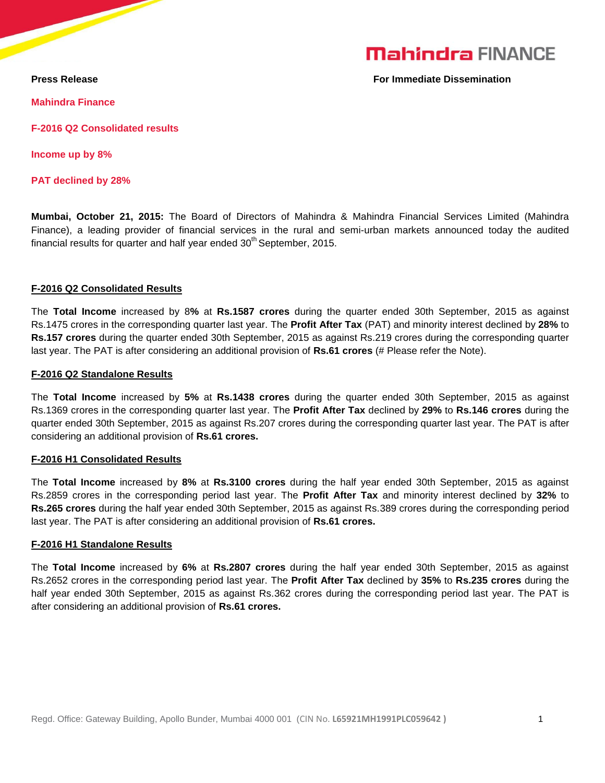# **Mahindra FINANCE**

**Press Release For Immediate Dissemination** 

**Mahindra Finance**

**F-2016 Q2 Consolidated results**

**Income up by 8%**

**PAT declined by 28%**

**Mumbai, October 21, 2015:** The Board of Directors of Mahindra & Mahindra Financial Services Limited (Mahindra Finance), a leading provider of financial services in the rural and semi-urban markets announced today the audited financial results for quarter and half year ended 30<sup>th</sup> September, 2015.

## **F-2016 Q2 Consolidated Results**

The **Total Income** increased by 8**%** at **Rs.1587 crores** during the quarter ended 30th September, 2015 as against Rs.1475 crores in the corresponding quarter last year. The **Profit After Tax** (PAT) and minority interest declined by **28%** to **Rs.157 crores** during the quarter ended 30th September, 2015 as against Rs.219 crores during the corresponding quarter last year. The PAT is after considering an additional provision of **Rs.61 crores** (# Please refer the Note).

## **F-2016 Q2 Standalone Results**

The **Total Income** increased by **5%** at **Rs.1438 crores** during the quarter ended 30th September, 2015 as against Rs.1369 crores in the corresponding quarter last year. The **Profit After Tax** declined by **29%** to **Rs.146 crores** during the quarter ended 30th September, 2015 as against Rs.207 crores during the corresponding quarter last year. The PAT is after considering an additional provision of **Rs.61 crores.**

# **F-2016 H1 Consolidated Results**

The **Total Income** increased by **8%** at **Rs.3100 crores** during the half year ended 30th September, 2015 as against Rs.2859 crores in the corresponding period last year. The **Profit After Tax** and minority interest declined by **32%** to **Rs.265 crores** during the half year ended 30th September, 2015 as against Rs.389 crores during the corresponding period last year. The PAT is after considering an additional provision of **Rs.61 crores.**

#### **F-2016 H1 Standalone Results**

The **Total Income** increased by **6%** at **Rs.2807 crores** during the half year ended 30th September, 2015 as against Rs.2652 crores in the corresponding period last year. The **Profit After Tax** declined by **35%** to **Rs.235 crores** during the half year ended 30th September, 2015 as against Rs.362 crores during the corresponding period last year. The PAT is after considering an additional provision of **Rs.61 crores.**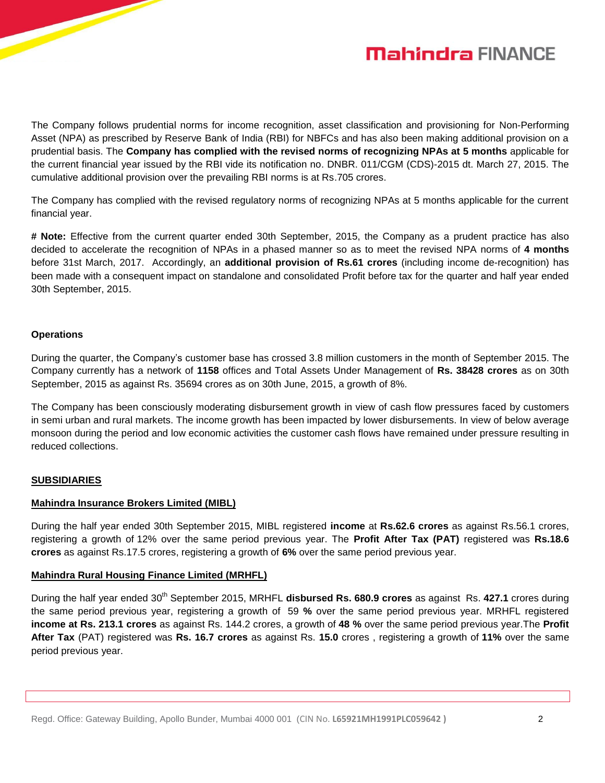



The Company follows prudential norms for income recognition, asset classification and provisioning for Non-Performing Asset (NPA) as prescribed by Reserve Bank of India (RBI) for NBFCs and has also been making additional provision on a prudential basis. The **Company has complied with the revised norms of recognizing NPAs at 5 months** applicable for the current financial year issued by the RBI vide its notification no. DNBR. 011/CGM (CDS)-2015 dt. March 27, 2015. The cumulative additional provision over the prevailing RBI norms is at Rs.705 crores.

The Company has complied with the revised regulatory norms of recognizing NPAs at 5 months applicable for the current financial year.

**# Note:** Effective from the current quarter ended 30th September, 2015, the Company as a prudent practice has also decided to accelerate the recognition of NPAs in a phased manner so as to meet the revised NPA norms of **4 months** before 31st March, 2017. Accordingly, an **additional provision of Rs.61 crores** (including income de-recognition) has been made with a consequent impact on standalone and consolidated Profit before tax for the quarter and half year ended 30th September, 2015.

#### **Operations**

During the quarter, the Company's customer base has crossed 3.8 million customers in the month of September 2015. The Company currently has a network of **1158** offices and Total Assets Under Management of **Rs. 38428 crores** as on 30th September, 2015 as against Rs. 35694 crores as on 30th June, 2015, a growth of 8%.

The Company has been consciously moderating disbursement growth in view of cash flow pressures faced by customers in semi urban and rural markets. The income growth has been impacted by lower disbursements. In view of below average monsoon during the period and low economic activities the customer cash flows have remained under pressure resulting in reduced collections.

#### **SUBSIDIARIES**

#### **Mahindra Insurance Brokers Limited (MIBL)**

During the half year ended 30th September 2015, MIBL registered **income** at **Rs.62.6 crores** as against Rs.56.1 crores, registering a growth of 12% over the same period previous year. The **Profit After Tax (PAT)** registered was **Rs.18.6 crores** as against Rs.17.5 crores, registering a growth of **6%** over the same period previous year.

#### **Mahindra Rural Housing Finance Limited (MRHFL)**

During the half year ended 30<sup>th</sup> September 2015, MRHFL **disbursed Rs. 680.9 crores** as against Rs. 427.1 crores during the same period previous year, registering a growth of 59 **%** over the same period previous year. MRHFL registered **income at Rs. 213.1 crores** as against Rs. 144.2 crores, a growth of **48 %** over the same period previous year.The **Profit After Tax** (PAT) registered was **Rs. 16.7 crores** as against Rs. **15.0** crores , registering a growth of **11%** over the same period previous year.

Regd. Office: Gateway Building, Apollo Bunder, Mumbai 4000 001 (CIN No. **L65921MH1991PLC059642 )** 2